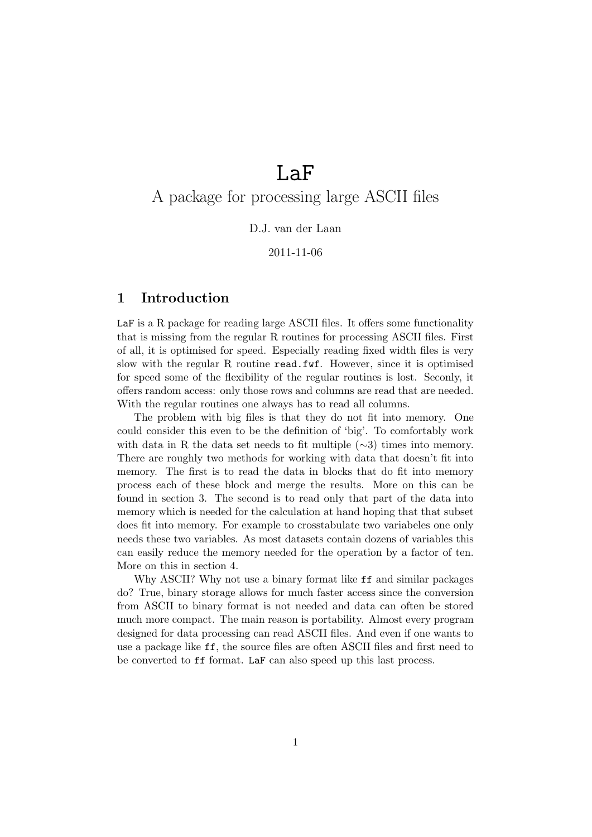# LaF

## A package for processing large ASCII files

#### D.J. van der Laan

#### 2011-11-06

## 1 Introduction

LaF is a R package for reading large ASCII files. It offers some functionality that is missing from the regular R routines for processing ASCII files. First of all, it is optimised for speed. Especially reading fixed width files is very slow with the regular R routine read.fwf. However, since it is optimised for speed some of the flexibility of the regular routines is lost. Seconly, it offers random access: only those rows and columns are read that are needed. With the regular routines one always has to read all columns.

The problem with big files is that they do not fit into memory. One could consider this even to be the definition of 'big'. To comfortably work with data in R the data set needs to fit multiple  $(\sim 3)$  times into memory. There are roughly two methods for working with data that doesn't fit into memory. The first is to read the data in blocks that do fit into memory process each of these block and merge the results. More on this can be found in section 3. The second is to read only that part of the data into memory which is needed for the calculation at hand hoping that that subset does fit into memory. For example to crosstabulate two variabeles one only needs these two variables. As most datasets contain dozens of variables this can easily reduce the memory needed for the operation by a factor of ten. More on this in section 4.

Why ASCII? Why not use a binary format like ff and similar packages do? True, binary storage allows for much faster access since the conversion from ASCII to binary format is not needed and data can often be stored much more compact. The main reason is portability. Almost every program designed for data processing can read ASCII files. And even if one wants to use a package like ff, the source files are often ASCII files and first need to be converted to ff format. LaF can also speed up this last process.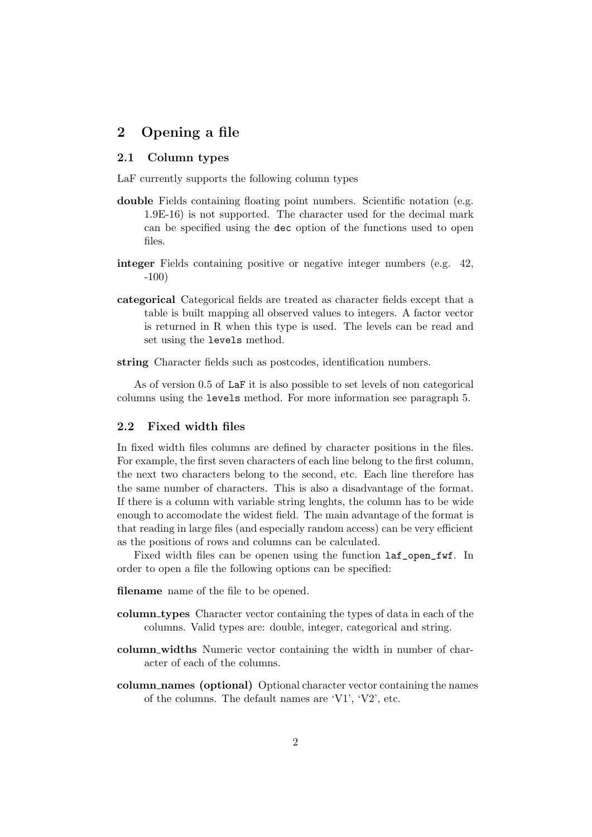## 2 Opening a file

#### 2.1 Column types

LaF currently supports the following column types

- double Fields containing floating point numbers. Scientific notation (e.g. 1.9E-16) is not supported. The character used for the decimal mark can be specified using the dec option of the functions used to open files.
- integer Fields containing positive or negative integer numbers (e.g. 42, -100)
- categorical Categorical fields are treated as character fields except that a table is built mapping all observed values to integers. A factor vector is returned in R when this type is used. The levels can be read and set using the levels method.
- string Character fields such as postcodes, identification numbers.

As of version 0.5 of LaF it is also possible to set levels of non categorical columns using the levels method. For more information see paragraph 5.

#### 2.2 Fixed width files

In fixed width files columns are defined by character positions in the files. For example, the first seven characters of each line belong to the first column, the next two characters belong to the second, etc. Each line therefore has the same number of characters. This is also a disadvantage of the format. If there is a column with variable string lenghts, the column has to be wide enough to accomodate the widest field. The main advantage of the format is that reading in large files (and especially random access) can be very efficient as the positions of rows and columns can be calculated.

Fixed width files can be openen using the function  $l$ af\_open\_fwf. In order to open a file the following options can be specified:

- filename name of the file to be opened.
- column types Character vector containing the types of data in each of the columns. Valid types are: double, integer, categorical and string.
- column widths Numeric vector containing the width in number of character of each of the columns.
- column names (optional) Optional character vector containing the names of the columns. The default names are 'V1', 'V2', etc.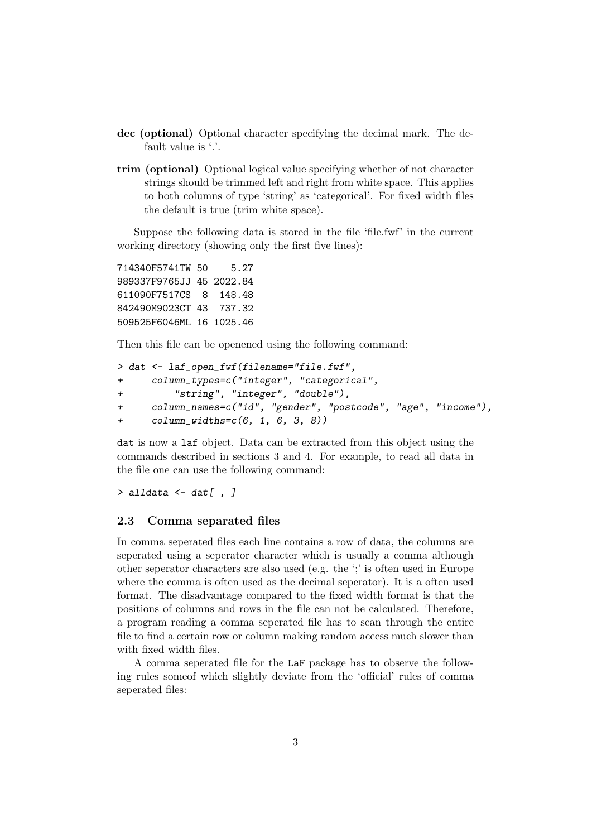- dec (optional) Optional character specifying the decimal mark. The default value is '.'.
- trim (optional) Optional logical value specifying whether of not character strings should be trimmed left and right from white space. This applies to both columns of type 'string' as 'categorical'. For fixed width files the default is true (trim white space).

Suppose the following data is stored in the file 'file.fwf' in the current working directory (showing only the first five lines):

714340F5741TW 50 5.27 989337F9765JJ 45 2022.84 611090F7517CS 8 148.48 842490M9023CT 43 737.32 509525F6046ML 16 1025.46

Then this file can be openened using the following command:

```
> dat <- laf_open_fwf(filename="file.fwf",
+ column_types=c("integer", "categorical",
+ "string", "integer", "double"),
+ column_names=c("id", "gender", "postcode", "age", "income"),
+ column_widths=c(6, 1, 6, 3, 8))
```
dat is now a laf object. Data can be extracted from this object using the commands described in sections 3 and 4. For example, to read all data in the file one can use the following command:

 $>$  alldata  $\le$  dat[, ]

#### 2.3 Comma separated files

In comma seperated files each line contains a row of data, the columns are seperated using a seperator character which is usually a comma although other seperator characters are also used (e.g. the ';' is often used in Europe where the comma is often used as the decimal seperator). It is a often used format. The disadvantage compared to the fixed width format is that the positions of columns and rows in the file can not be calculated. Therefore, a program reading a comma seperated file has to scan through the entire file to find a certain row or column making random access much slower than with fixed width files.

A comma seperated file for the LaF package has to observe the following rules someof which slightly deviate from the 'official' rules of comma seperated files: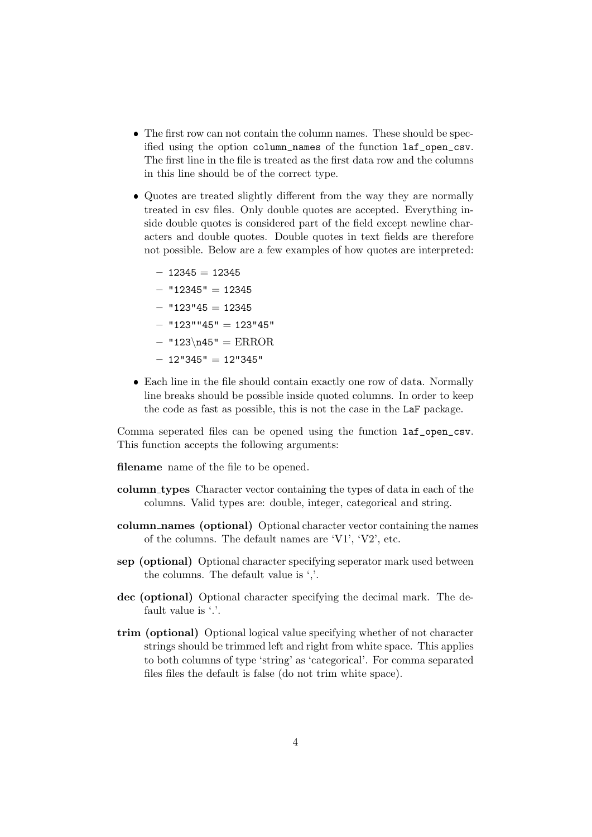- The first row can not contain the column names. These should be specified using the option column\_names of the function laf\_open\_csv. The first line in the file is treated as the first data row and the columns in this line should be of the correct type.
- Quotes are treated slightly different from the way they are normally treated in csv files. Only double quotes are accepted. Everything inside double quotes is considered part of the field except newline characters and double quotes. Double quotes in text fields are therefore not possible. Below are a few examples of how quotes are interpreted:
	- $-12345=12345$
	- $-$  "12345" = 12345
	- $-$  "123"45 = 12345
	- "123""45" = 123"45"
	- $-$  "123\n45" = ERROR
	- $-12"345" = 12"345"$
- Each line in the file should contain exactly one row of data. Normally line breaks should be possible inside quoted columns. In order to keep the code as fast as possible, this is not the case in the LaF package.

Comma seperated files can be opened using the function laf\_open\_csv. This function accepts the following arguments:

filename name of the file to be opened.

- column types Character vector containing the types of data in each of the columns. Valid types are: double, integer, categorical and string.
- column names (optional) Optional character vector containing the names of the columns. The default names are 'V1', 'V2', etc.
- sep (optional) Optional character specifying seperator mark used between the columns. The default value is ','.
- dec (optional) Optional character specifying the decimal mark. The default value is '.'.
- trim (optional) Optional logical value specifying whether of not character strings should be trimmed left and right from white space. This applies to both columns of type 'string' as 'categorical'. For comma separated files files the default is false (do not trim white space).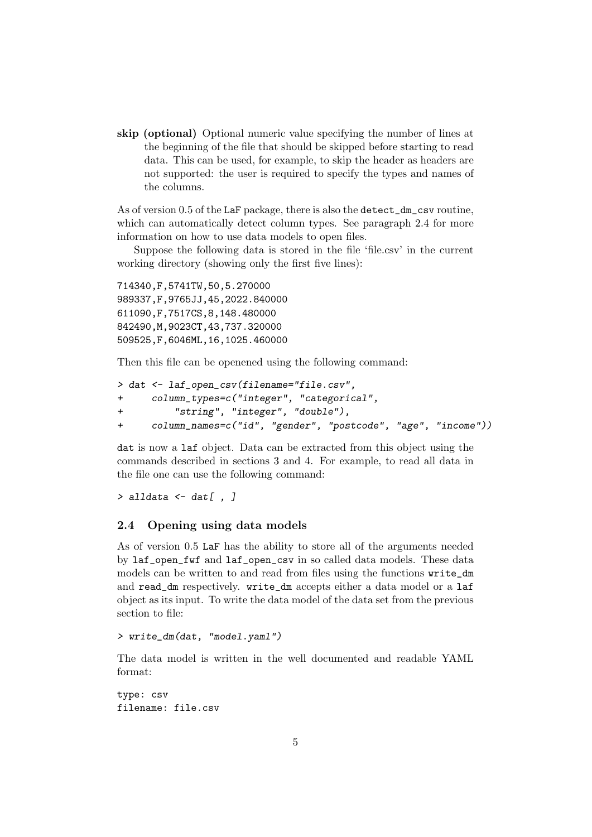skip (optional) Optional numeric value specifying the number of lines at the beginning of the file that should be skipped before starting to read data. This can be used, for example, to skip the header as headers are not supported: the user is required to specify the types and names of the columns.

As of version 0.5 of the LaF package, there is also the detect\_dm\_csv routine, which can automatically detect column types. See paragraph 2.4 for more information on how to use data models to open files.

Suppose the following data is stored in the file 'file.csv' in the current working directory (showing only the first five lines):

714340,F,5741TW,50,5.270000 989337,F,9765JJ,45,2022.840000 611090,F,7517CS,8,148.480000 842490,M,9023CT,43,737.320000 509525,F,6046ML,16,1025.460000

Then this file can be openened using the following command:

```
> dat <- laf_open_csv(filename="file.csv",
+ column_types=c("integer", "categorical",
+ "string", "integer", "double"),
+ column_names=c("id", "gender", "postcode", "age", "income"))
```
dat is now a laf object. Data can be extracted from this object using the commands described in sections 3 and 4. For example, to read all data in the file one can use the following command:

 $>$  alldata  $\le$  dat[, ]

#### 2.4 Opening using data models

As of version 0.5 LaF has the ability to store all of the arguments needed by laf\_open\_fwf and laf\_open\_csv in so called data models. These data models can be written to and read from files using the functions write\_dm and read\_dm respectively. write\_dm accepts either a data model or a laf object as its input. To write the data model of the data set from the previous section to file:

> write\_dm(dat, "model.yaml")

The data model is written in the well documented and readable YAML format:

type: csv filename: file.csv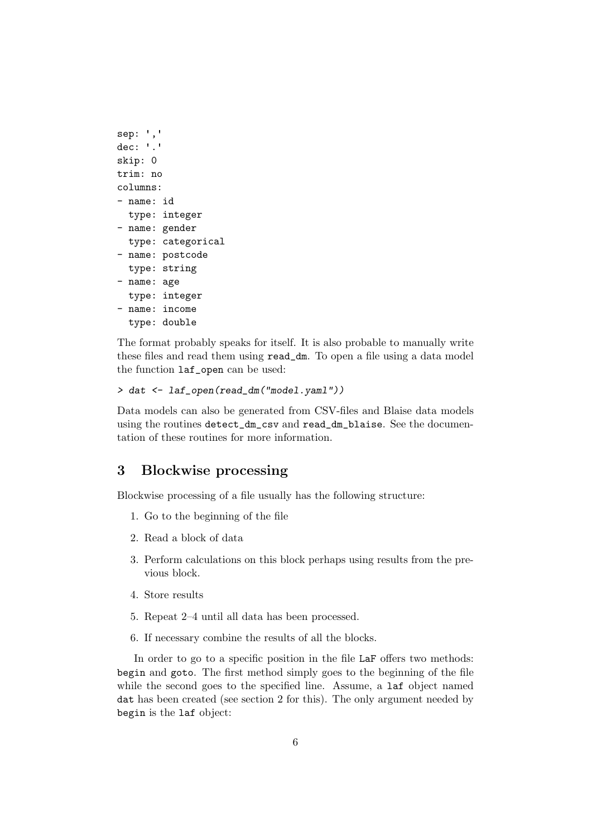```
sep: ','
dec: '.'
skip: 0
trim: no
columns:
- name: id
  type: integer
- name: gender
  type: categorical
- name: postcode
  type: string
- name: age
  type: integer
- name: income
  type: double
```
The format probably speaks for itself. It is also probable to manually write these files and read them using read\_dm. To open a file using a data model the function laf\_open can be used:

```
> dat <- laf_open(read_dm("model.yaml"))
```
Data models can also be generated from CSV-files and Blaise data models using the routines detect\_dm\_csv and read\_dm\_blaise. See the documentation of these routines for more information.

## 3 Blockwise processing

Blockwise processing of a file usually has the following structure:

- 1. Go to the beginning of the file
- 2. Read a block of data
- 3. Perform calculations on this block perhaps using results from the previous block.
- 4. Store results
- 5. Repeat 2–4 until all data has been processed.
- 6. If necessary combine the results of all the blocks.

In order to go to a specific position in the file LaF offers two methods: begin and goto. The first method simply goes to the beginning of the file while the second goes to the specified line. Assume, a laf object named dat has been created (see section 2 for this). The only argument needed by begin is the laf object: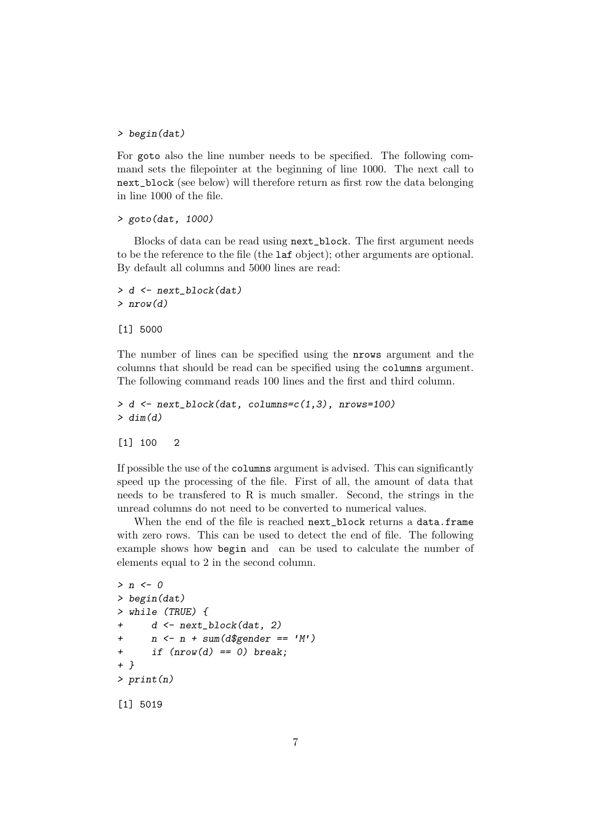#### > begin(dat)

For goto also the line number needs to be specified. The following command sets the filepointer at the beginning of line 1000. The next call to next\_block (see below) will therefore return as first row the data belonging in line 1000 of the file.

```
> goto(dat, 1000)
```
Blocks of data can be read using next\_block. The first argument needs to be the reference to the file (the laf object); other arguments are optional. By default all columns and 5000 lines are read:

```
> d <- next_block(dat)
> nrow(d)
```
[1] 5000

The number of lines can be specified using the nrows argument and the columns that should be read can be specified using the columns argument. The following command reads 100 lines and the first and third column.

```
> d <- next_block(dat, columns=c(1,3), nrows=100)
> dim(d)
```
#### [1] 100 2

If possible the use of the columns argument is advised. This can significantly speed up the processing of the file. First of all, the amount of data that needs to be transfered to R is much smaller. Second, the strings in the unread columns do not need to be converted to numerical values.

When the end of the file is reached next\_block returns a data.frame with zero rows. This can be used to detect the end of file. The following example shows how begin and can be used to calculate the number of elements equal to 2 in the second column.

```
> n < 0> begin(dat)
> while (TRUE) {
+ d <- next_block(dat, 2)
+ n \leq n + \text{sum}(d\text{\$gender} == 'M')+ if (nrow(d) == 0) break;
+ }
> print(n)
[1] 5019
```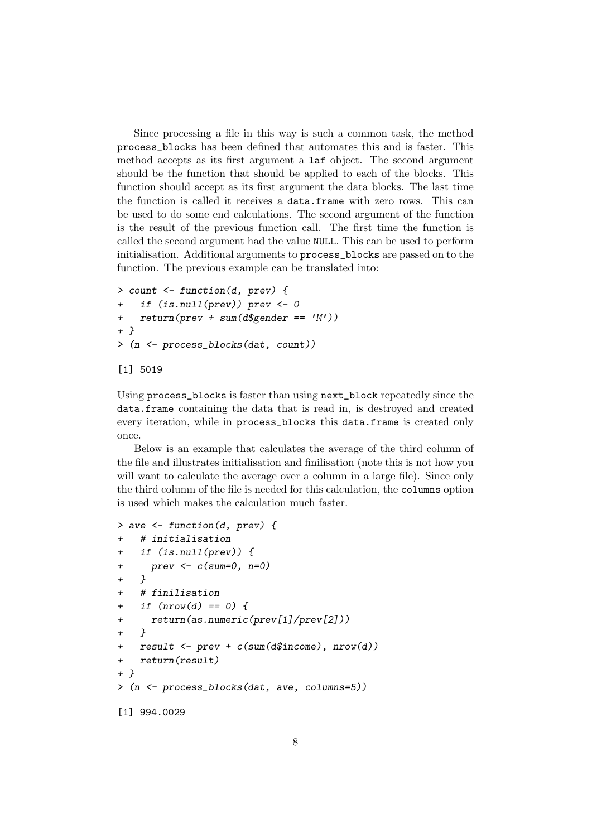Since processing a file in this way is such a common task, the method process\_blocks has been defined that automates this and is faster. This method accepts as its first argument a laf object. The second argument should be the function that should be applied to each of the blocks. This function should accept as its first argument the data blocks. The last time the function is called it receives a data.frame with zero rows. This can be used to do some end calculations. The second argument of the function is the result of the previous function call. The first time the function is called the second argument had the value NULL. This can be used to perform initialisation. Additional arguments to process\_blocks are passed on to the function. The previous example can be translated into:

```
> count <- function(d, prev) {
+ if (is.null(prev)) prev <- 0
+ return(prev + sum(d$gender == 'M'))
+ }
> (n <- process_blocks(dat, count))
```

```
[1] 5019
```
Using process\_blocks is faster than using next\_block repeatedly since the data.frame containing the data that is read in, is destroyed and created every iteration, while in process\_blocks this data.frame is created only once.

Below is an example that calculates the average of the third column of the file and illustrates initialisation and finilisation (note this is not how you will want to calculate the average over a column in a large file). Since only the third column of the file is needed for this calculation, the columns option is used which makes the calculation much faster.

```
> ave <- function(d, prev) {
+ # initialisation
+ if (is.null(prev)) {
+ prev <- c(sum=0, n=0)
+ }
+ # finilisation
+ if (nrow(d) == 0) {
+ return(as.numeric(prev[1]/prev[2]))
+ }
+ result <- prev + c(sum(d$income), nrow(d))
+ return(result)
+ }
> (n <- process_blocks(dat, ave, columns=5))
[1] 994.0029
```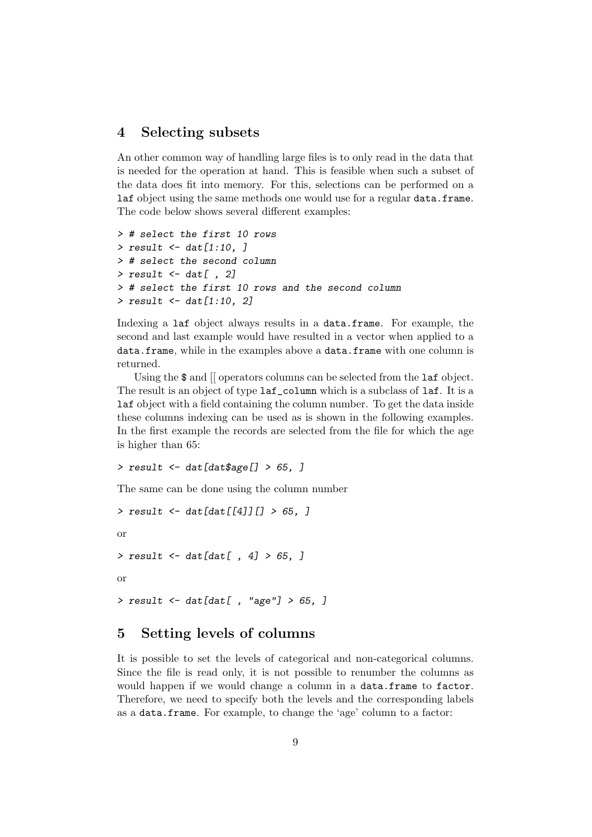## 4 Selecting subsets

An other common way of handling large files is to only read in the data that is needed for the operation at hand. This is feasible when such a subset of the data does fit into memory. For this, selections can be performed on a laf object using the same methods one would use for a regular data.frame. The code below shows several different examples:

```
> # select the first 10 rows
> result \le dat [1:10, ]
> # select the second column
> result \le dat[, 2]
> # select the first 10 rows and the second column
> result <- dat[1:10, 2]
```
Indexing a laf object always results in a data.frame. For example, the second and last example would have resulted in a vector when applied to a data.frame, while in the examples above a data.frame with one column is returned.

Using the  $\$  and [[ operators columns can be selected from the **laf** object. The result is an object of type  $l$ af\_column which is a subclass of  $l$ af. It is a laf object with a field containing the column number. To get the data inside these columns indexing can be used as is shown in the following examples. In the first example the records are selected from the file for which the age is higher than 65:

```
> result <- dat[dat$age[] > 65, ]
```
The same can be done using the column number

```
> result \le dat [dat [[4]] [] > 65, ]
or
> result \le dat [dat [, 4] > 65, ]
or
> result \leftarrow dat[dat[, "age"] > 65, ]
```
## 5 Setting levels of columns

It is possible to set the levels of categorical and non-categorical columns. Since the file is read only, it is not possible to renumber the columns as would happen if we would change a column in a data.frame to factor. Therefore, we need to specify both the levels and the corresponding labels as a data.frame. For example, to change the 'age' column to a factor: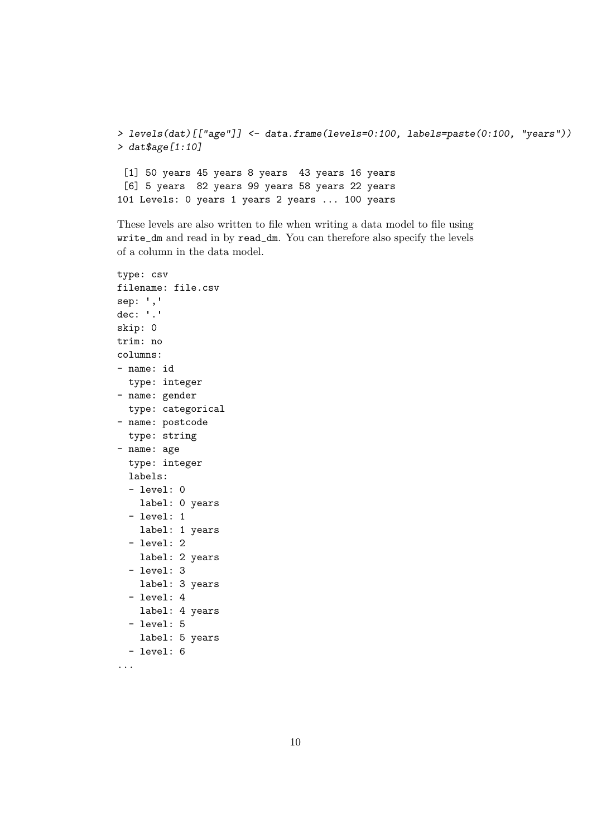```
> levels(dat)[["age"]] <- data.frame(levels=0:100, labels=paste(0:100, "years"))
> dat$age[1:10]
 [1] 50 years 45 years 8 years 43 years 16 years
 [6] 5 years 82 years 99 years 58 years 22 years
101 Levels: 0 years 1 years 2 years ... 100 years
```
These levels are also written to file when writing a data model to file using write\_dm and read in by read\_dm. You can therefore also specify the levels of a column in the data model.

```
type: csv
filename: file.csv
sep: ','
dec: '.'
skip: 0
trim: no
columns:
- name: id
  type: integer
- name: gender
  type: categorical
- name: postcode
  type: string
- name: age
  type: integer
  labels:
  - level: 0
   label: 0 years
  - level: 1
    label: 1 years
  - level: 2
    label: 2 years
  - level: 3
    label: 3 years
  - level: 4
    label: 4 years
  - level: 5
   label: 5 years
  - level: 6
```

```
...
```